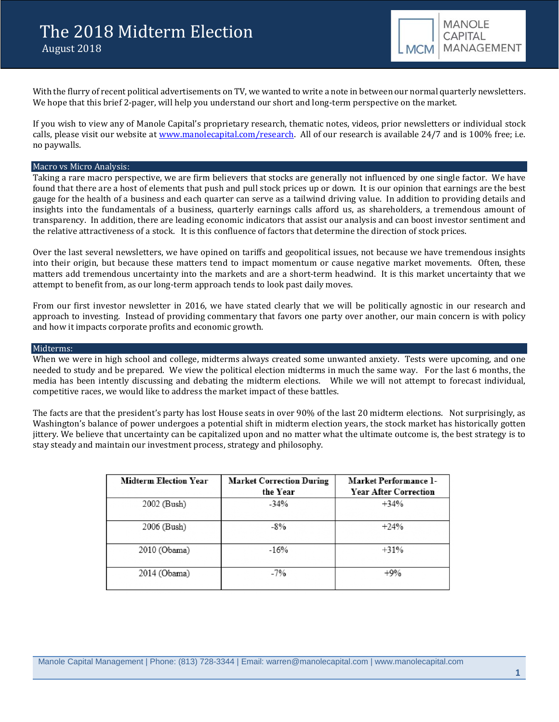With the flurry of recent political advertisements on TV, we wanted to write a note in between our normal quarterly newsletters. We hope that this brief 2-pager, will help you understand our short and long-term perspective on the market.

If you wish to view any of Manole Capital's proprietary research, thematic notes, videos, prior newsletters or individual stock calls, please visit our website at [www.manolecapital.com/research.](http://www.manolecapital.com/research) All of our research is available 24/7 and is 100% free; i.e. no paywalls.

# Macro vs Micro Analysis:

Taking a rare macro perspective, we are firm believers that stocks are generally not influenced by one single factor. We have found that there are a host of elements that push and pull stock prices up or down. It is our opinion that earnings are the best gauge for the health of a business and each quarter can serve as a tailwind driving value. In addition to providing details and insights into the fundamentals of a business, quarterly earnings calls afford us, as shareholders, a tremendous amount of transparency. In addition, there are leading economic indicators that assist our analysis and can boost investor sentiment and the relative attractiveness of a stock. It is this confluence of factors that determine the direction of stock prices.

Over the last several newsletters, we have opined on tariffs and geopolitical issues, not because we have tremendous insights into their origin, but because these matters tend to impact momentum or cause negative market movements. Often, these matters add tremendous uncertainty into the markets and are a short-term headwind. It is this market uncertainty that we attempt to benefit from, as our long-term approach tends to look past daily moves.

From our first investor newsletter in 2016, we have stated clearly that we will be politically agnostic in our research and approach to investing. Instead of providing commentary that favors one party over another, our main concern is with policy and how it impacts corporate profits and economic growth.

#### Midterms:

When we were in high school and college, midterms always created some unwanted anxiety. Tests were upcoming, and one needed to study and be prepared. We view the political election midterms in much the same way. For the last 6 months, the media has been intently discussing and debating the midterm elections. While we will not attempt to forecast individual, competitive races, we would like to address the market impact of these battles.

The facts are that the president's party has lost House seats in over 90% of the last 20 midterm elections. Not surprisingly, as Washington's balance of power undergoes a potential shift in midterm election years, the stock market has historically gotten jittery. We believe that uncertainty can be capitalized upon and no matter what the ultimate outcome is, the best strategy is to stay steady and maintain our investment process, strategy and philosophy.

| <b>Midterm Election Year</b> | <b>Market Correction During</b><br>the Year | Market Performance 1-<br><b>Year After Correction</b> |
|------------------------------|---------------------------------------------|-------------------------------------------------------|
| 2002 (Bush)                  | $-34%$                                      | $+34%$                                                |
| 2006 (Bush)                  | $-8%$                                       | $+24%$                                                |
| 2010 (Obama)                 | $-16%$                                      | $+31%$                                                |
| 2014 (Obama)                 | $-7%$                                       | $+9%$                                                 |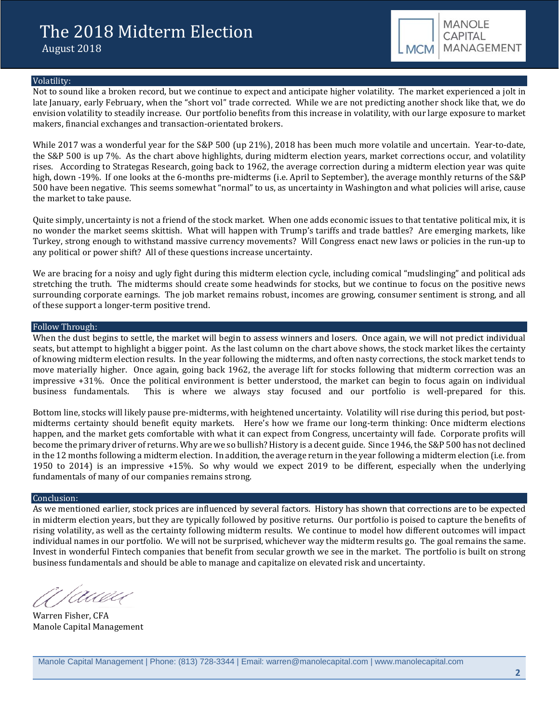

## Volatility:

Not to sound like a broken record, but we continue to expect and anticipate higher volatility. The market experienced a jolt in late January, early February, when the "short vol" trade corrected. While we are not predicting another shock like that, we do envision volatility to steadily increase. Our portfolio benefits from this increase in volatility, with our large exposure to market makers, financial exchanges and transaction-orientated brokers.

While 2017 was a wonderful year for the S&P 500 (up 21%), 2018 has been much more volatile and uncertain. Year-to-date, the S&P 500 is up 7%. As the chart above highlights, during midterm election years, market corrections occur, and volatility rises. According to Strategas Research, going back to 1962, the average correction during a midterm election year was quite high, down -19%. If one looks at the 6-months pre-midterms (i.e. April to September), the average monthly returns of the S&P 500 have been negative. This seems somewhat "normal" to us, as uncertainty in Washington and what policies will arise, cause the market to take pause.

Quite simply, uncertainty is not a friend of the stock market. When one adds economic issues to that tentative political mix, it is no wonder the market seems skittish. What will happen with Trump's tariffs and trade battles? Are emerging markets, like Turkey, strong enough to withstand massive currency movements? Will Congress enact new laws or policies in the run-up to any political or power shift? All of these questions increase uncertainty.

We are bracing for a noisy and ugly fight during this midterm election cycle, including comical "mudslinging" and political ads stretching the truth. The midterms should create some headwinds for stocks, but we continue to focus on the positive news surrounding corporate earnings. The job market remains robust, incomes are growing, consumer sentiment is strong, and all of these support a longer-term positive trend.

## Follow Through:

When the dust begins to settle, the market will begin to assess winners and losers. Once again, we will not predict individual seats, but attempt to highlight a bigger point. As the last column on the chart above shows, the stock market likes the certainty of knowing midterm election results. In the year following the midterms, and often nasty corrections, the stock market tends to move materially higher. Once again, going back 1962, the average lift for stocks following that midterm correction was an impressive +31%. Once the political environment is better understood, the market can begin to focus again on individual business fundamentals. This is where we always stay focused and our portfolio is well-prepared for thi This is where we always stay focused and our portfolio is well-prepared for this.

Bottom line, stocks will likely pause pre-midterms, with heightened uncertainty. Volatility will rise during this period, but postmidterms certainty should benefit equity markets. Here's how we frame our long-term thinking: Once midterm elections happen, and the market gets comfortable with what it can expect from Congress, uncertainty will fade. Corporate profits will become the primary driver of returns. Why are we so bullish? History is a decent guide. Since 1946, the S&P 500 has not declined in the 12 months following a midterm election. In addition, the average return in the year following a midterm election (i.e. from 1950 to 2014) is an impressive +15%. So why would we expect 2019 to be different, especially when the underlying fundamentals of many of our companies remains strong.

#### Conclusion:

As we mentioned earlier, stock prices are influenced by several factors. History has shown that corrections are to be expected in midterm election years, but they are typically followed by positive returns. Our portfolio is poised to capture the benefits of rising volatility, as well as the certainty following midterm results. We continue to model how different outcomes will impact individual names in our portfolio. We will not be surprised, whichever way the midterm results go. The goal remains the same. Invest in wonderful Fintech companies that benefit from secular growth we see in the market. The portfolio is built on strong business fundamentals and should be able to manage and capitalize on elevated risk and uncertainty.

auvu

Warren Fisher, CFA Manole Capital Management